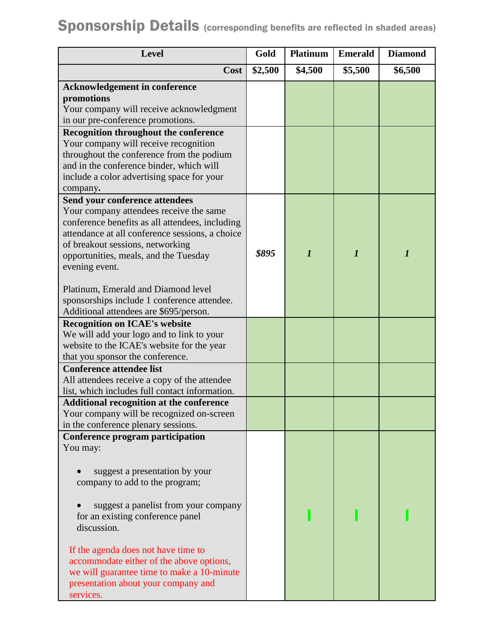## Sponsorship Details (corresponding benefits are reflected in shaded areas)

| <b>Level</b>                                                                      | Gold    | <b>Platinum</b> | <b>Emerald</b>   | <b>Diamond</b>   |
|-----------------------------------------------------------------------------------|---------|-----------------|------------------|------------------|
| <b>Cost</b>                                                                       | \$2,500 | \$4,500         | \$5,500          | \$6,500          |
| <b>Acknowledgement in conference</b>                                              |         |                 |                  |                  |
| promotions                                                                        |         |                 |                  |                  |
| Your company will receive acknowledgment                                          |         |                 |                  |                  |
| in our pre-conference promotions.                                                 |         |                 |                  |                  |
| <b>Recognition throughout the conference</b>                                      |         |                 |                  |                  |
| Your company will receive recognition                                             |         |                 |                  |                  |
| throughout the conference from the podium                                         |         |                 |                  |                  |
| and in the conference binder, which will                                          |         |                 |                  |                  |
| include a color advertising space for your                                        |         |                 |                  |                  |
| company.                                                                          |         |                 |                  |                  |
| Send your conference attendees                                                    |         |                 |                  |                  |
| Your company attendees receive the same                                           |         |                 |                  |                  |
| conference benefits as all attendees, including                                   |         |                 |                  |                  |
| attendance at all conference sessions, a choice                                   |         |                 |                  |                  |
| of breakout sessions, networking                                                  | \$895   | $\overline{I}$  | $\boldsymbol{l}$ | $\boldsymbol{l}$ |
| opportunities, meals, and the Tuesday                                             |         |                 |                  |                  |
| evening event.                                                                    |         |                 |                  |                  |
|                                                                                   |         |                 |                  |                  |
| Platinum, Emerald and Diamond level                                               |         |                 |                  |                  |
| sponsorships include 1 conference attendee.                                       |         |                 |                  |                  |
| Additional attendees are \$695/person.                                            |         |                 |                  |                  |
| <b>Recognition on ICAE's website</b><br>We will add your logo and to link to your |         |                 |                  |                  |
| website to the ICAE's website for the year                                        |         |                 |                  |                  |
| that you sponsor the conference.                                                  |         |                 |                  |                  |
| <b>Conference attendee list</b>                                                   |         |                 |                  |                  |
| All attendees receive a copy of the attendee                                      |         |                 |                  |                  |
| list, which includes full contact information.                                    |         |                 |                  |                  |
| <b>Additional recognition at the conference</b>                                   |         |                 |                  |                  |
| Your company will be recognized on-screen                                         |         |                 |                  |                  |
| in the conference plenary sessions.                                               |         |                 |                  |                  |
| Conference program participation                                                  |         |                 |                  |                  |
| You may:                                                                          |         |                 |                  |                  |
|                                                                                   |         |                 |                  |                  |
| suggest a presentation by your                                                    |         |                 |                  |                  |
| company to add to the program;                                                    |         |                 |                  |                  |
|                                                                                   |         |                 |                  |                  |
| suggest a panelist from your company                                              |         |                 |                  |                  |
| for an existing conference panel                                                  |         |                 |                  |                  |
| discussion.                                                                       |         |                 |                  |                  |
|                                                                                   |         |                 |                  |                  |
| If the agenda does not have time to                                               |         |                 |                  |                  |
| accommodate either of the above options,                                          |         |                 |                  |                  |
| we will guarantee time to make a 10-minute                                        |         |                 |                  |                  |
| presentation about your company and                                               |         |                 |                  |                  |
| services.                                                                         |         |                 |                  |                  |